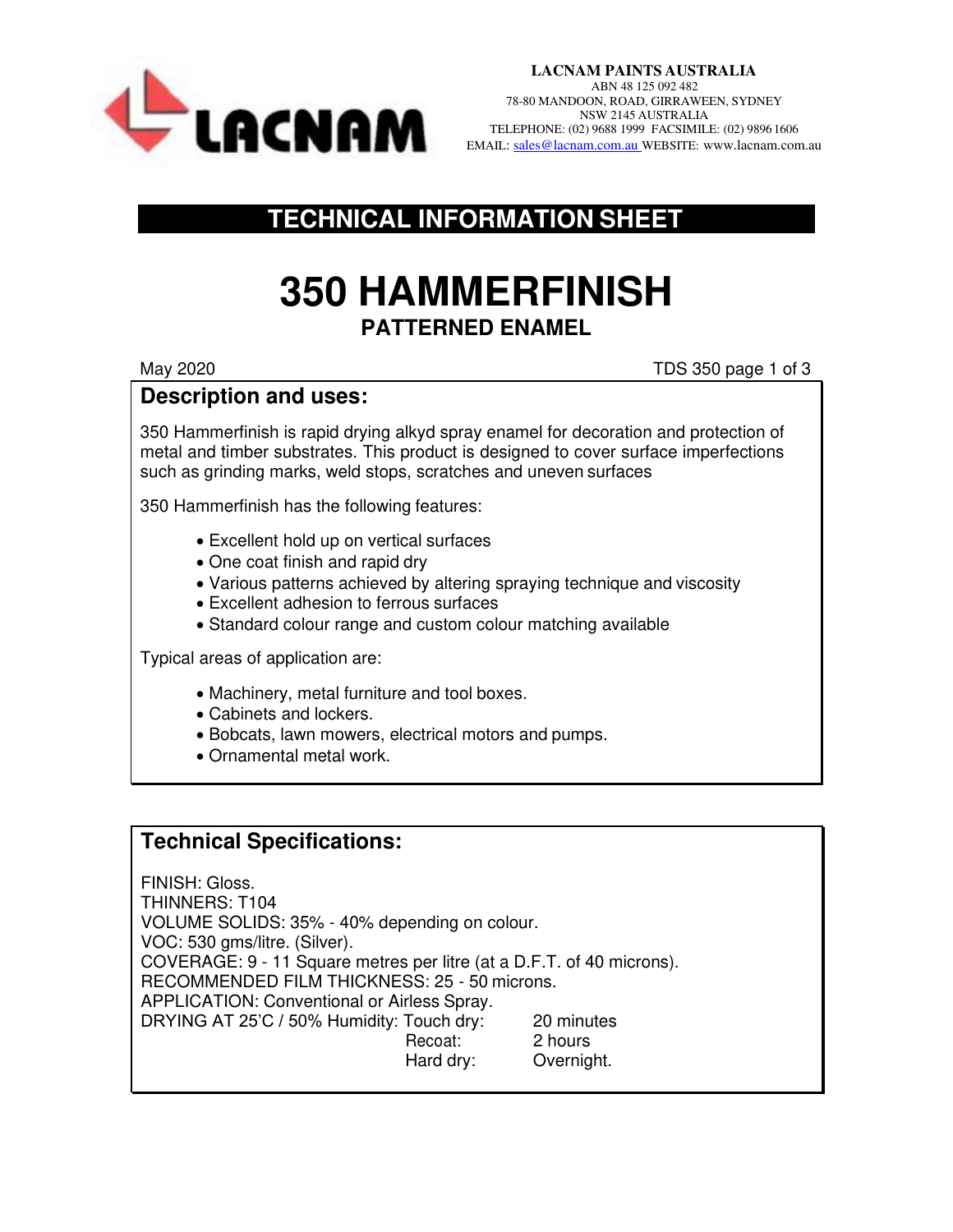

**LACNAM PAINTS AUSTRALIA** ABN 48 125 092 482 78-80 MANDOON, ROAD, GIRRAWEEN, SYDNEY NSW 2145 AUSTRALIA TELEPHONE: (02) 9688 1999 FACSIMILE: (02) 9896 1606 EMAIL: SALER STRALLA TELEPHONE: (02) 9688 1999 FACSIMILE: (02) 9896 1606

## **TECHNICAL INFORMATION SHEET**

# **350 HAMMERFINISH PATTERNED ENAMEL**

May 2020 TDS 350 page 1 of 3

#### **Description and uses:**

350 Hammerfinish is rapid drying alkyd spray enamel for decoration and protection of metal and timber substrates. This product is designed to cover surface imperfections such as grinding marks, weld stops, scratches and uneven surfaces

350 Hammerfinish has the following features:

- Excellent hold up on vertical surfaces
- One coat finish and rapid dry
- Various patterns achieved by altering spraying technique and viscosity
- Excellent adhesion to ferrous surfaces
- Standard colour range and custom colour matching available

Typical areas of application are:

- Machinery, metal furniture and tool boxes.
- Cabinets and lockers.
- Bobcats, lawn mowers, electrical motors and pumps.
- Ornamental metal work.

## **Technical Specifications:**

FINISH: Gloss. THINNERS: T104 VOLUME SOLIDS: 35% - 40% depending on colour. VOC: 530 gms/litre. (Silver). COVERAGE: 9 - 11 Square metres per litre (at a D.F.T. of 40 microns). RECOMMENDED FILM THICKNESS: 25 - 50 microns. APPLICATION: Conventional or Airless Spray. DRYING AT 25'C / 50% Humidity: Touch dry: 20 minutes Recoat: 2 hours Hard dry: Overnight.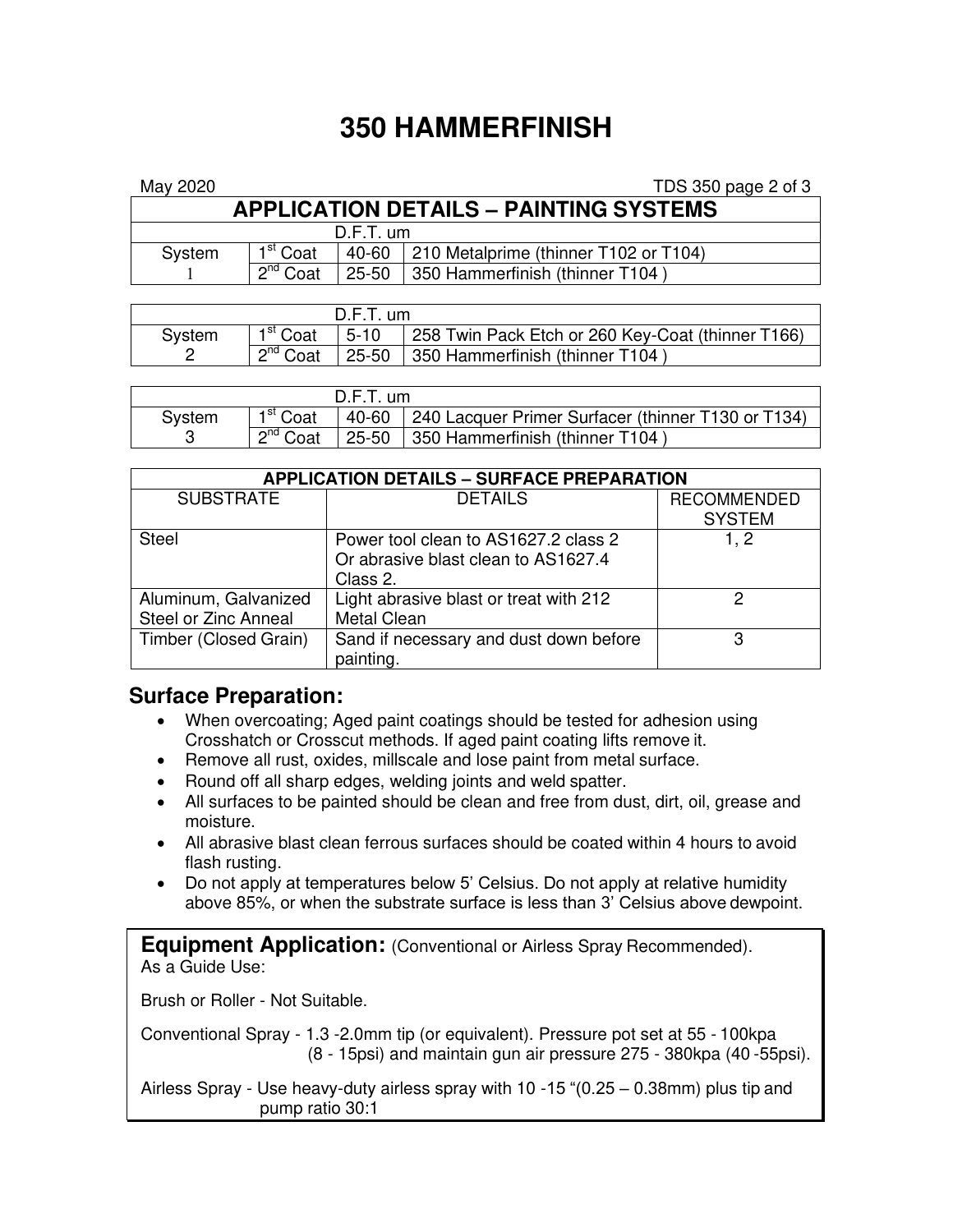## **350 HAMMERFINISH**

| May 2020                                      |                      |  | TDS 350 page 2 of 3                         |  |  |  |  |
|-----------------------------------------------|----------------------|--|---------------------------------------------|--|--|--|--|
| <b>APPLICATION DETAILS - PAINTING SYSTEMS</b> |                      |  |                                             |  |  |  |  |
| $D.F.T.$ um                                   |                      |  |                                             |  |  |  |  |
| System                                        | 1 <sup>st</sup> Coat |  | 40-60 210 Metalprime (thinner T102 or T104) |  |  |  |  |
|                                               | $2^{nd}$ Coat        |  | 25-50 350 Hammerfinish (thinner T104)       |  |  |  |  |

| $D.F.T.$ um |                      |  |                                                                        |  |  |
|-------------|----------------------|--|------------------------------------------------------------------------|--|--|
| System      | 1 <sup>st</sup> Coat |  | $\vert$ 5-10 $\vert$ 258 Twin Pack Etch or 260 Key-Coat (thinner T166) |  |  |
|             | $2^{nd}$ Coat        |  | $\vert$ 25-50 $\vert$ 350 Hammerfinish (thinner T104)                  |  |  |

| $D.F.T.$ um |                      |  |                                                          |  |
|-------------|----------------------|--|----------------------------------------------------------|--|
| Svstem      | 1 <sup>st</sup> Coat |  | 40-60 240 Lacquer Primer Surfacer (thinner T130 or T134) |  |
|             | $2^{nd}$ Coat        |  | $25-50$   350 Hammerfinish (thinner T104)                |  |

| <b>APPLICATION DETAILS - SURFACE PREPARATION</b> |                                        |                    |  |  |  |  |
|--------------------------------------------------|----------------------------------------|--------------------|--|--|--|--|
| <b>SUBSTRATE</b>                                 | <b>DETAILS</b>                         | <b>RECOMMENDED</b> |  |  |  |  |
|                                                  |                                        | <b>SYSTEM</b>      |  |  |  |  |
| <b>Steel</b>                                     | Power tool clean to AS1627.2 class 2   | 1. 2               |  |  |  |  |
|                                                  | Or abrasive blast clean to AS1627.4    |                    |  |  |  |  |
|                                                  | Class 2.                               |                    |  |  |  |  |
| Aluminum, Galvanized                             | Light abrasive blast or treat with 212 | っ                  |  |  |  |  |
| Steel or Zinc Anneal                             | <b>Metal Clean</b>                     |                    |  |  |  |  |
| Timber (Closed Grain)                            | Sand if necessary and dust down before | З                  |  |  |  |  |
|                                                  | painting.                              |                    |  |  |  |  |

## **Surface Preparation:**

- When overcoating; Aged paint coatings should be tested for adhesion using Crosshatch or Crosscut methods. If aged paint coating lifts remove it.
- Remove all rust, oxides, millscale and lose paint from metal surface.
- Round off all sharp edges, welding joints and weld spatter.
- All surfaces to be painted should be clean and free from dust, dirt, oil, grease and moisture.
- All abrasive blast clean ferrous surfaces should be coated within 4 hours to avoid flash rusting.
- Do not apply at temperatures below 5' Celsius. Do not apply at relative humidity above 85%, or when the substrate surface is less than 3' Celsius above dewpoint.

**Equipment Application:** (Conventional or Airless Spray Recommended). As a Guide Use:

Brush or Roller - Not Suitable.

Conventional Spray - 1.3 -2.0mm tip (or equivalent). Pressure pot set at 55 - 100kpa (8 - 15psi) and maintain gun air pressure 275 - 380kpa (40 -55psi).

Airless Spray - Use heavy-duty airless spray with 10 -15 "(0.25 – 0.38mm) plus tip and pump ratio 30:1